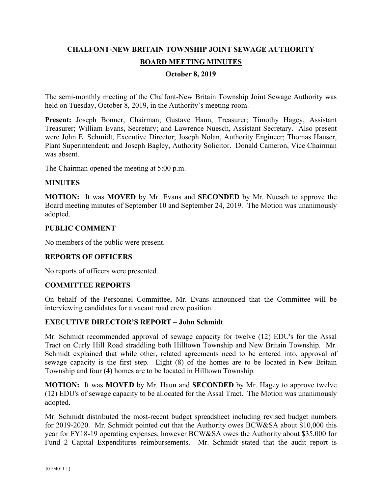# **CHALFONT-NEW BRITAIN TOWNSHIP JOINT SEWAGE AUTHORITY BOARD MEETING MINUTES**

# **October 8, 2019**

The semi-monthly meeting of the Chalfont-New Britain Township Joint Sewage Authority was held on Tuesday, October 8, 2019, in the Authority's meeting room.

**Present:** Joseph Bonner, Chairman; Gustave Haun, Treasurer; Timothy Hagey, Assistant Treasurer; William Evans, Secretary; and Lawrence Nuesch, Assistant Secretary. Also present were John E. Schmidt, Executive Director; Joseph Nolan, Authority Engineer; Thomas Hauser, Plant Superintendent; and Joseph Bagley, Authority Solicitor. Donald Cameron, Vice Chairman was absent.

The Chairman opened the meeting at 5:00 p.m.

## **MINUTES**

**MOTION:** It was **MOVED** by Mr. Evans and **SECONDED** by Mr. Nuesch to approve the Board meeting minutes of September 10 and September 24, 2019. The Motion was unanimously adopted.

#### **PUBLIC COMMENT**

No members of the public were present.

# **REPORTS OF OFFICERS**

No reports of officers were presented.

# **COMMITTEE REPORTS**

On behalf of the Personnel Committee, Mr. Evans announced that the Committee will be interviewing candidates for a vacant road crew position.

#### **EXECUTIVE DIRECTOR'S REPORT – John Schmidt**

Mr. Schmidt recommended approval of sewage capacity for twelve (12) EDU's for the Assal Tract on Curly Hill Road straddling both Hilltown Township and New Britain Township. Mr. Schmidt explained that while other, related agreements need to be entered into, approval of sewage capacity is the first step. Eight (8) of the homes are to be located in New Britain Township and four (4) homes are to be located in Hilltown Township.

**MOTION:** It was **MOVED** by Mr. Haun and **SECONDED** by Mr. Hagey to approve twelve (12) EDU's of sewage capacity to be allocated for the Assal Tract. The Motion was unanimously adopted.

Mr. Schmidt distributed the most-recent budget spreadsheet including revised budget numbers for 2019-2020. Mr. Schmidt pointed out that the Authority owes BCW&SA about \$10,000 this year for FY18-19 operating expenses, however BCW&SA owes the Authority about \$35,000 for Fund 2 Capital Expenditures reimbursements. Mr. Schmidt stated that the audit report is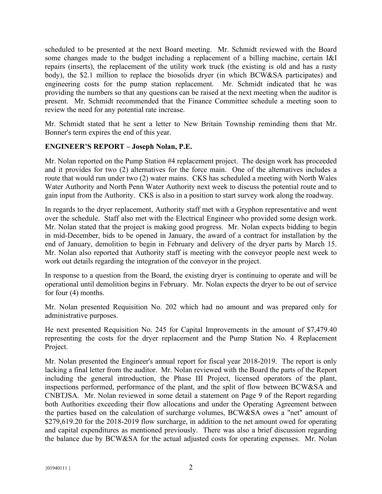scheduled to be presented at the next Board meeting. Mr. Schmidt reviewed with the Board some changes made to the budget including a replacement of a billing machine, certain I&I repairs (inserts), the replacement of the utility work truck (the existing is old and has a rusty body), the \$2.1 million to replace the biosolids dryer (in which BCW&SA participates) and engineering costs for the pump station replacement. Mr. Schmidt indicated that he was providing the numbers so that any questions can be raised at the next meeting when the auditor is present. Mr. Schmidt recommended that the Finance Committee schedule a meeting soon to review the need for any potential rate increase.

Mr. Schmidt stated that he sent a letter to New Britain Township reminding them that Mr. Bonner's term expires the end of this year.

## **ENGINEER'S REPORT – Joseph Nolan, P.E.**

Mr. Nolan reported on the Pump Station #4 replacement project. The design work has proceeded and it provides for two (2) alternatives for the force main. One of the alternatives includes a route that would run under two (2) water mains. CKS has scheduled a meeting with North Wales Water Authority and North Penn Water Authority next week to discuss the potential route and to gain input from the Authority. CKS is also in a position to start survey work along the roadway.

In regards to the dryer replacement, Authority staff met with a Gryphon representative and went over the schedule. Staff also met with the Electrical Engineer who provided some design work. Mr. Nolan stated that the project is making good progress. Mr. Nolan expects bidding to begin in mid-December, bids to be opened in January, the award of a contract for installation by the end of January, demolition to begin in February and delivery of the dryer parts by March 15. Mr. Nolan also reported that Authority staff is meeting with the conveyor people next week to work out details regarding the integration of the conveyor in the project.

In response to a question from the Board, the existing dryer is continuing to operate and will be operational until demolition begins in February. Mr. Nolan expects the dryer to be out of service for four (4) months.

Mr. Nolan presented Requisition No. 202 which had no amount and was prepared only for administrative purposes.

He next presented Requisition No. 245 for Capital Improvements in the amount of \$7,479.40 representing the costs for the dryer replacement and the Pump Station No. 4 Replacement Project.

Mr. Nolan presented the Engineer's annual report for fiscal year 2018-2019. The report is only lacking a final letter from the auditor. Mr. Nolan reviewed with the Board the parts of the Report including the general introduction, the Phase III Project, licensed operators of the plant, inspections performed, performance of the plant, and the split of flow between BCW&SA and CNBTJSA. Mr. Nolan reviewed in some detail a statement on Page 9 of the Report regarding both Authorities exceeding their flow allocations and under the Operating Agreement between the parties based on the calculation of surcharge volumes, BCW&SA owes a "net" amount of \$279,619.20 for the 2018-2019 flow surcharge, in addition to the net amount owed for operating and capital expenditures as mentioned previously. There was also a brief discussion regarding the balance due by BCW&SA for the actual adjusted costs for operating expenses. Mr. Nolan